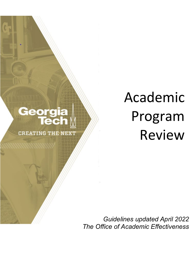# **Georgia<br>Tech**

**CREATING THE NEXT** 

# Academic Program Review

*Guidelines updated April 2022 The Office of Academic Effectiveness*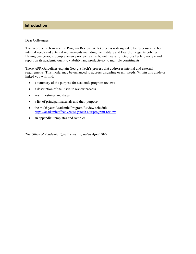#### **Introduction**

#### Dear Colleagues,

The Georgia Tech Academic Program Review (APR) process is designed to be responsive to both internal needs and external requirements including the Institute and Board of Regents policies. Having one periodic comprehensive review is an efficient means for Georgia Tech to review and report on its academic quality, viability, and productivity to multiple constituents.

These APR Guidelines explain Georgia Tech's process that addresses internal and external requirements. This model may be enhanced to address discipline or unit needs. Within this guide or linked you will find:

- a summary of the purpose for academic program reviews
- a description of the Institute review process
- key milestones and dates
- a list of principal materials and their purpose
- the multi-year Academic Program Review schedule: <https://academiceffectiveness.gatech.edu/program-review>
- an appendix: templates and samples

*The Office of Academic Effectiveness; updated April 2022*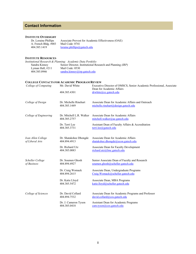#### **Contact Information**

### **INSTITUTE OVERSIGHT**<br>Dr. Loraine Phillips

Associate Provost for Academic Effectiveness (OAE) A. French Bldg.  $\hat{\#}003$  Mail Code: 0741<br>404.385.1419 loraine.phillips@ [loraine.phillips@gatech.edu](mailto:loraine.phillips@gatech.edu)

#### **INSTITUTE RESOURCES**

|                  | Institutional Research & Planning: Academic Data Portfolio        |
|------------------|-------------------------------------------------------------------|
| Sandra Kinney    | Senior Director, Institutional Research and Planning <i>(IRP)</i> |
| Lyman Hall, #211 | Mail Code: 0530                                                   |
| 404.385.0946     | sandra.kinney@irp.gatech.edu                                      |

#### **COLLEGE CONTACTS FOR ACADEMIC PROGRAM REVIEW**

| College of Computing                  | Mr. David White                          | Executive Director of OMSCS, Senior Academic Professional, Associate<br>Dean for Academic Affairs |
|---------------------------------------|------------------------------------------|---------------------------------------------------------------------------------------------------|
|                                       | 404.385.4301                             | drwhite@cc.gatech.edu                                                                             |
| College of Design                     | Dr. Michelle Rinehart<br>404.385.1449    | Associate Dean for Academic Affairs and Outreach<br>michelle.rinehart@design.gatech.edu           |
|                                       |                                          |                                                                                                   |
| College of Engineering                | Dr. Mitchell L.R. Walker<br>404.385.2757 | Associate Dean for Academic Affairs<br>mitchell.walker@ae.gatech.edu                              |
|                                       | Dr. Terri Lee<br>404.385.3731            | Assistant Dean of Faculty Affairs & Accreditation<br>terri.lee@gatech.edu                         |
|                                       |                                          |                                                                                                   |
| Ivan Allen College<br>of Liberal Arts | Dr. Shatakshee Dhongde<br>404.894.4913   | Associate Dean for Academic Affairs<br>shatakshee.dhongde@econ.gatech.edu                         |
|                                       | Dr. Richard Utz<br>404.385.0083          | Associate Dean for Faculty Development<br>richard.utz@lmc.gatech.edu                              |
|                                       |                                          |                                                                                                   |
| Scheller College<br>of Business       | Dr. Soumen Ghosh<br>404.894.4927         | Senior Associate Dean of Faculty and Research<br>soumen.ghosh@scheller.gatech.edu                 |
|                                       | Dr. Craig Womack                         | Associate Dean, Undergraduate Programs                                                            |
|                                       | 404.894.2615                             | Craig. Womack@scheller.gatech.edu                                                                 |
|                                       | Dr. Katie Lloyd<br>404.385.5472          | Associate Dean, MBA Programs<br>katie.lloyd@scheller.gatech.edu                                   |
|                                       |                                          |                                                                                                   |
| College of Sciences                   | Dr. David Collard<br>404.894.7532        | Associate Dean for Academic Programs and Professor<br>david.collard@cos.gatech.edu                |
|                                       | Dr. J. Cameron Tyson<br>404.385.0418     | Assistant Dean for Academic Programs<br>cam.tyson@cos.gatech.edu                                  |
|                                       |                                          |                                                                                                   |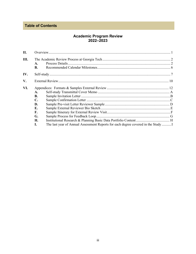### **Table of Contents**

# Academic Program Review<br>2022–2023

| II.           |                                                                       |                                                                                   |  |
|---------------|-----------------------------------------------------------------------|-----------------------------------------------------------------------------------|--|
| Ш.            | A.<br><b>B.</b>                                                       |                                                                                   |  |
| IV.           |                                                                       |                                                                                   |  |
| $V_{\bullet}$ |                                                                       |                                                                                   |  |
| VI.           | A.<br><b>B.</b><br>$\mathbf{C}$ .<br>D.<br>Е.<br>F.<br>G.<br>Н.<br>L. | The last year of Annual Assessment Reports for each degree covered in the Study I |  |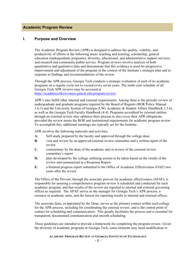#### **Academic Program Review**

#### **I. Purpose and Overview**

The Academic Program Review (APR) is designed to address the quality, viability, and productivity of efforts in the following areas: teaching and learning, scholarship, general education (undergraduate programs); diversity, educational, and administrative support services; and research and community/public service. Program reviews involve analysis of both quantitative and qualitative data and demonstrate that this evidence is used for progressive improvement and adjustment of the program in the context of the Institute's strategic plan and in response to findings and recommendations of the review.

Through the APR process, Georgia Tech conducts a strategic evaluation of each of its academic programs on a regular cycle not to exceed every seven years. The multi-year schedule of all Georgia Tech APR reviews may be accessed at

[https://academiceffectiveness.gatech.edu/program-review.](https://academiceffectiveness.gatech.edu/program-review)

APR's also fulfill other internal and external requirements. Among them is the periodic review of undergraduate and graduate programs required by the Board of Regents (BOR Policy Manual 3.6.3) and the University System of Georgia (USG Academic & Student Affairs Handbook 2.3.6), as well as the Georgia Tech Faculty Handbook (4.4). Programs accredited by external entities through an external review may optimize their process to also cover their APR obligations, provided the review meets the BOR and institutional requirements for academic program review. To accomplish this, additional meetings are typically set for the Institute.

APR involves the following materials and activities:

- **A.** Self-study prepared by the faculty and approved through the college dean
- **B.** visit and review by an approved external review committee and a written report of the review
- **C.** commentary by the dean of the academic unit in review of the external review committee's report
- **D.** plan developed by the college outlining actions to be taken based on the results of the review and summarized in a Response Report
- **E.** a biennial progress report submitted to the Office of Academic Effectiveness (OAE) two years after the review

The Office of the Provost, through the associate provost for academic effectiveness (APAE), is responsible for assuring a comprehensive program review is scheduled and conducted for each academic program, and that results of the review are reported to internal and external governing offices as required. The APAE serves as the manager for Georgia Tech's APR process, a resource to academic units, and the liaison for reporting results to internal and external offices.

The associate dean, as appointed by the Dean, serves as the primary contact within each college for the APR process, including for coordinating the external review, and is the central point of contact for scheduling and communication. This greatly facilitates the process and is essential for transparent, documented communication and smooth scheduling.

These guidelines are intended to provide a framework for completing the program review. Given the diversity of academic programs at Georgia Tech, some elements may need modification to

#### **ACADEMIC PROGRAM REVIEW AT GEORGIA INSTITUTE OF TECHNOLOGY**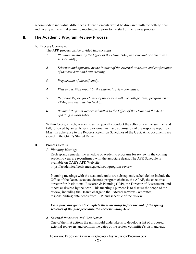accommodate individual differences. These elements would be discussed with the college dean and faculty at the initial planning meeting held prior to the start of the review process.

#### **II. The Academic Program Review Process**

**A.** Process Overview:

The APR process can be divided into six steps:

- *1. Planning meeting by the Office of the Dean, OAE, and relevant academic and service unit(s).*
- *2. Selection and approval by the Provost of the external reviewers and confirmation of the visit dates and exit meeting.*
- *3. Preparation of the self-study.*
- *4. Visit and written report by the external review committee.*
- *5. Response Report for closure of the review with the college dean, program chair, APAE, and Institute leadership.*
- *6. Biennial Progress Report submitted to the Office of the Dean and the APAE updating actions taken.*

Within Georgia Tech, academic units typically conduct the self-study in the summer and fall, followed by an early spring external visit and submission of the response report by May. In adherence to the Records Retention Schedules of the USG, APR documents are stored in the OAE's Shared Drive.

- **B.** Process Details:
	- *1. Planning Meeting:*

Each spring semester the schedule of academic programs for review in the coming academic year are reconfirmed with the associate deans. The APR Schedule is available on OAE's APR Web site:

<https://academiceffectiveness.gatech.edu/program-review>

Planning meetings with the academic units are subsequently scheduled to include the Office of the Dean, associate dean(s), program chair(s), the APAE, the executive director for Institutional Research & Planning (IRP), the Director of Assessment, and others as desired by the dean. This meeting's purpose is to discuss the scope of the review, including the Dean's charge to the External Review Committee; responsibilities; data needs from IRP; and schedule of the review.

#### *Each year, our goal is to complete these meetings before the end of the spring semester of the year preceding the corresponding APR.*

*2. External Reviewers and Visit Dates:*

One of the first actions the unit should undertake is to develop a list of proposed external reviewers and confirm the dates of the review committee's visit and exit

#### **ACADEMIC PROGRAM REVIEW AT GEORGIA INSTITUTE OF TECHNOLOGY**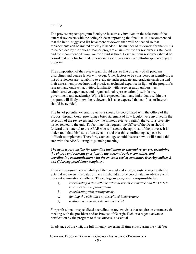meeting.

The provost expects program faculty to be actively involved in the selection of the external reviewers with the college's dean approving the final list. It is recommended that the initial suggested list have more reviewers than will be needed so that replacements can be invited quickly if needed. The number of reviewers for the visit is to be decided by the college dean or program chair—four to six reviewers is standard and the recommended *minimum* for a visit is three. Less than four reviewers should be considered only for focused reviews such as the review of a multi-disciplinary degree program.

The composition of the review team should ensure that a review of all program disciplines and degree levels will occur. Other factors to be considered in identifying a list of reviewers are: capability to evaluate undergraduate and graduate curricula and their assessment procedures and practices, technical expertise in light of the program's research and outreach activities, familiarity with large research universities, administrative experience, and organizational representation (i.e., industry, government, and academia). While it is expected that many individuals within the program will likely know the reviewers, it is also expected that conflicts of interest should be avoided.

The list of potential external reviewers should be coordinated with the Office of the Provost through OAE, providing a brief statement of how faculty were involved in the selection of the reviewers and how the invited reviewers satisfy the various diversity issues related to the unit. To facilitate this request, the Office of the Dean should forward this material to the APAE who will secure the approval of the provost. It is understood that this list is often dynamic and that this coordinating step can be difficult to implement. Therefore, each college should discuss how it will handle this step with the APAE during its planning meeting.

#### *The dean is responsible for extending invitations to external reviewers, explaining the charge and relevant questions to the external review committee, and coordinating communication with the external review committee (see Appendices B and C for suggested letter templates).*

In order to ensure the availability of the provost and vice provosts to meet with the external reviewers, the dates of the visit should also be coordinated in advance with relevant administrative offices. **The college or program is responsible for**:

- *a) coordinating dates with the external review committee and the OAE to ensure executive participation*
- *b) coordinating visit arrangements*
- *c) funding the visit and any associated honorariums*
- *d) hosting the reviewers during their visit*

For professional or specialized accreditation review visits that require an entrance/exit meeting with the president and/or Provost of Georgia Tech or a regent, advance notification by the program to those offices is essential.

In advance of the visit, the full itinerary covering all time slots during the visit (see

#### **ACADEMIC PROGRAM REVIEW AT GEORGIA INSTITUTE OF TECHNOLOGY**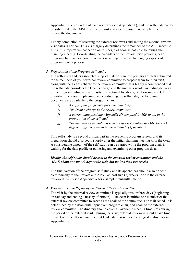Appendix F), a bio sketch of each reviewer (see Appendix E), and the self-study are to be submitted to the APAE, so the provost and vice provosts have ample time to review the documents.

Timely completion of selecting the external reviewers and setting the external review visit dates is critical. This visit largely determines the remainder of the APR schedule. Thus, it is imperative that action on this begin as soon as possible following the planning meeting. Coordinating the calendars of the provost, vice provosts, dean, program chair, and external reviewers is among the most challenging aspects of the program review process.

#### *3. Preparation of the Program Self-study:*

The self-study and its associated support materials are the primary artifacts submitted to the members of your external review committee to prepare them for their visit, along with the Dean's charge to the review committee. It is highly recommended that the self-study considers the Dean's charge and the unit as a whole, including delivery of the program online and at off-site instructional locations, GT Lorraine and GT Shenzhen. To assist in planning and conducting the self-study, the following documents are available to the program chair:

- *a) A copy of the program's previous self-study*
- *e) The Dean's charge to the review committee*
- *f) A current data portfolio (Appendix H) compiled by IRP to aid in the preparation of the self-study*
- *g) The last year of annual assessment reports complied by OAE for each degree program covered in the self-study (Appendix I).*

This self-study is a second critical part in the academic program review, and its preparation should also begin shortly after the initial planning meeting with the OAE. A considerable amount of the self-study can be started while the program chair is waiting for the data profile or gathering and examining other program data.

#### *Ideally, the self-study should be sent to the external review committee and the APAE about one month before the visit, but no less than two weeks.*

The final version of the program self-study and its appendices should also be sent electronically to the Provost and APAE at least two (2) weeks prior to the external reviewers' visit (see Appendix A for a sample transmittal memo).

#### *4. Visit and Written Report by the External Review Committee:*

The visit by the external review committee is typically two or three days (beginning on Sunday and ending Tuesday afternoon). The dean identifies one member of the external review committee to serve as the chair of the committee. The visit schedule is determined by the dean, with input from program chair, and chair of the external review committee. The itinerary should cover all available meeting time slots during the period of the external visit. During the visit, external reviewers should have time to meet with faculty without the unit leadership present (see a suggested itinerary in Appendix F).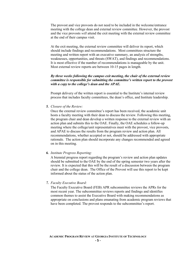The provost and vice provosts do not need to be included in the welcome/entrance meeting with the college dean and external review committee. However, the provost and the vice provosts *will* attend the exit meeting with the external review committee at the end of their campus visit.

At the exit meeting, the external review committee will deliver its report, which should include findings and recommendations. Most committees structure the meeting and written report with an executive summary, an analysis of strengths, weaknesses, opportunities, and threats (SWAT), and findings and recommendations. It is most effective if the number of recommendations is manageable by the unit. Most external review reports are between 10-15 pages in length.

#### *By three weeks following the campus exit meeting, the chair of the external review committee is responsible for submitting the committee's written report to the provost with a copy to the college's dean and the APAE.*

Prompt delivery of the written report is essential to the Institute's internal review process that includes faculty committees, the dean's office, and Institute leadership.

#### *5. Closure of the Review:*

Once the external review committee's report has been received, the academic unit hosts a faculty meeting with their dean to discuss the review. Following this meeting, the program chair and dean develop a written response to the external review with an action plan and submits this to the OAE. Finally, the OAE schedules a follow-up meeting where the college/unit representatives meet with the provost, vice provosts, and APAE to discuss the results from the program review and action plan. All recommendations, whether accepted or not, should be addressed with appropriate rationale. The action plan should incorporate any changes recommended and agreed on in this meeting.

#### *6. Institute Progress Reporting:*

A biennial progress report regarding the program's review and action plan updates should be submitted to the OAE by the end of the spring semester two years after the review. It is expected that this will be the result of a discussion between the program chair and the college dean. The Office of the Provost will use this report to be kept informed about the status of the action plan.

#### *7. Faculty Executive Board:*

The Faculty Executive Board (FEB) APR subcommittee reviews the APRs for the most recent year. The subcommittee reviews reports and findings and identifies common themes to assist the Executive Board with making recommendations as appropriate on conclusions and plans emanating from academic program reviews that have been completed. The provost responds to the subcommittee's report.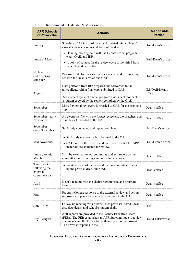| <b>APR Schedule</b><br>$(16-20$ months)                     | <b>Actions</b>                                                                                                                                                                                                               | <b>Responsible</b><br><b>Parties</b> |
|-------------------------------------------------------------|------------------------------------------------------------------------------------------------------------------------------------------------------------------------------------------------------------------------------|--------------------------------------|
| January                                                     | Schedule of APRs coordinated and updated with colleges'<br>associate deans or representatives of the dean.                                                                                                                   | OAE/Dean's office                    |
| January-March                                               | • Planning meeting held with the Dean's office, program<br>chair, OAE, and IRP.<br>• A point of contact for the review cycle is identified from<br>the college dean's office.                                                | OAE/Dean's office                    |
| No later than<br>end of spring<br>semester                  | Proposed date for the external review visit and exit meeting<br>set with the Dean's office and OAE.                                                                                                                          | OAE/Dean's office                    |
| August                                                      | Data portfolio from IRP prepared and forwarded to the<br>unit/college, with a final copy submitted to OAE.<br>Most recent cycle of annual program assessments for each<br>program covered by the review compiled by the OAE. | IRP/OAE/Dean's<br>office             |
| September                                                   | List of external reviewers forwarded to OAE for the provost's<br>approval.                                                                                                                                                   | Dean's office                        |
| September-early<br>November                                 | An electronic file with <i>confirmed</i> reviewers, bio sketches, and<br>visit dates forwarded to the OAE.                                                                                                                   | Dean's office                        |
| September-<br>early November                                | Self-study conducted and report completed.                                                                                                                                                                                   | Unit/Dean's office                   |
| Mid-November                                                | • Self-study electronically submitted to the OAE.<br>• OAE notifies the provost and vice provosts that the APR<br>materials are available for review.                                                                        | OAE/Dean's office                    |
| January to mid-<br>March                                    | Visit by external review committee and exit report by the<br>committee on its findings and recommendations.                                                                                                                  | Dean's office                        |
| Three weeks<br>following the<br>external<br>committee visit | • Written report of the external review committee received<br>by the provost, dean, and OAE.                                                                                                                                 | Dean's office                        |
| April                                                       | Dean's readout with the chair/program head and program<br>faculty.                                                                                                                                                           | Dean's office                        |
| May                                                         | Program/College response to the external review and action<br>improvement plan electronically submitted to the OAE.                                                                                                          | Dean's office                        |
| $June - July$                                               | Follow-up meeting with provost, vice provosts, APAE, dean,<br>associate deans, and school/program chair.                                                                                                                     | <b>OAE</b>                           |
| $July - August$                                             | APR reports are provided to the Faculty Executive Board<br>(FEB). The FEB establishes an APR Subcommittee to review<br>documents and the FEB submits their report to the Provost.<br>The Provost responds to the FEB.        | OAE/FEB/Provost                      |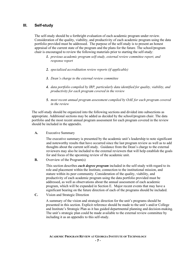#### **III. Self-study**

The self-study should be a forthright evaluation of each academic program under review. Consideration of the quality, viability, and productivity of each academic program using the data portfolio provided must be addressed. The purpose of the self-study is to present an honest appraisal of the current state of the program and the plans for the future. The school/program chair is encouraged to review the following materials prior to starting the self-study:

- *1. previous academic program self-study, external review committee report, and response report*
- *2. specialized accreditation review reports (if applicable)*
- *3. Dean's charge to the external review committee*
- *4. data portfolio compiled by IRP, particularly data identified for quality, viability, and productivity for each program covered in the review*
- *5. most recent annual program assessment compiled by OAE for each program covered in the review*

The self-study should be organized into the following sections and divided into subsections as appropriate. Additional sections may be added as decided by the school/program chair. The data portfolio and the most recent annual program assessment for each program covered in the review should be included in the appendix.

**A.** Executive Summary

The executive summary is presented by the academic unit's leadership to note significant and noteworthy results that have occurred since the last program review as well as to add thoughts about the current self-study. Guidance from the Dean's charge to the external reviewers may also be included to the external reviewers that will help establish the goals for and focus of the upcoming review of the academic unit.

**B.** Overview of the Program(s)

This section describes *each degree program* included in the self-study with regard to its role and placement within the Institute, connection to the institutional mission, and stature within its peer community. Consideration of the quality, viability, and productivity of each academic program using the data portfolio provided must be addressed, as well as observations about the annual assessment of each academic program, which will be expanded in Section E. Major recent events that may have a significant bearing on the future direction of each of the programs should be included.

**C.** Vision and Strategic Direction

A summary of the vision and strategic direction for the unit's programs should be presented in this section. Explicit reference should be made to the unit's and/or College and Institute's Strategic Plan as it has guided departmental planning and decision-making. The unit's strategic plan could be made available to the external review committee by including it as an appendix to this self-study.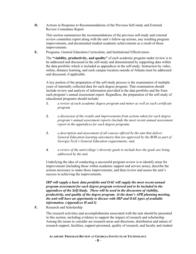**D.** Actions in Response to Recommendations of the Previous Self-study and External Review Committee Report

This section summarizes the recommendations of the previous self-study and external review committee report along with the unit's follow-up actions, any resulting program improvements, and documented student academic achievements as a result of those improvements.

**E.** Programs, General Education Curriculum, and Institutional Effectiveness

The **"viability, productivity, and quality"** of each academic program under review is to be addressed and discussed in the self-study and demonstrated by supporting data within the data portfolio which is included as appendices in the self-study. Instruction by video, online, distance learning, and each campus location outside of Atlanta must be addressed and discussed, if applicable.

A key portion of the preparation of the self-study process is the examination of multiple years of internally collected data for each degree program. That examination should include review and analysis of information provided in the data portfolio and the from each program's annual assessment report. Regardless, the preparation of the self-study of educational programs should include:

- *1. a review of each academic degree program and minor as well as each certificate program.*
- *2. a discussion of the results and improvements from actions taken for each degree program's annual assessment reports (include the most recent annual assessment report in the appendices for each degree program).*
- *3. a description and assessment of all courses offered by the unit that deliver General Education learning outcome(s) that are approved by the BOR as part of Georgia Tech's General Education requirements; and,*
- *4. a review of the unit/college's diversity goals to include how the goals are being addressed by the unit.*

Underlying the idea of conducting a successful program review is to identify areas for improvement (including those within academic support and service areas), describe the actions necessary to make those improvements, and then review and assess the unit's success in achieving the improvements.

*IRP will supply a basic data portfolio and OAE will supply the most recent annual program assessment for each degree program reviewed and to be included in the appendices of the Self-Study. These will be used in the discussion of viability, productivity, and quality of the degree program. At the dean's APR planning meeting, the unit will have an opportunity to discuss with IRP and OAE types of available information. (Appendices H and I)*

**F.** Research and Scholarship

The research activities and accomplishments associated with the unit should be presented in this section, including evidence to support the impact of research and scholarship. Among the issues to consider are research areas and directions, distribution and nature of research support, facilities, support personnel, quality of research, and faculty and student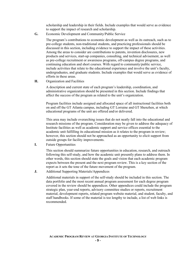scholarship and leadership in their fields. Include examples that would serve as evidence to support the impact of research and scholarship.

**G.** Economic Development and Community/Public Service

The program's contributions to economic development as well as its outreach, such as to pre-college students, non-traditional students, and practicing professionals should be discussed in this section, including evidence to support the impact of these activities. Among the areas to consider are contributions to patents, invention disclosures, new products and services, start-up companies, consulting, and technical advisement, as well as pre-college recruitment or awareness programs, off-campus degree programs, and continuing education and short courses. With regard to community/public service, include activities that relate to the educational experience and involve the unit's faculty, undergraduates, and graduate students. Include examples that would serve as evidence of efforts in these areas.

**H.** Organization and Facilities

A description and current state of each program's leadership, coordination, and administrative organization should be presented in this section. Include findings that affect the success of the program as related to the unit's organization.

Program facilities include assigned and allocated space of all instructional facilities both on and off the GT Atlanta campus, including GT Lorraine and GT Shenzhen, at which educational programs of the unit are offered and/or delivered.

This area may include overarching issues that do not neatly fall into the educational and research missions of the program. Consideration may be given to address the adequacy of Institute facilities as well as academic support and service offices essential to the academic unit fulfilling its educational mission as it relates to the program in review; however, this section should not be approached as an opportunity to elicit support from outside groups for facility improvements.

**I.** Future Opportunities

This section should summarize future opportunities in education, research, and outreach following this self-study, and how the academic unit presently plans to address them. In other words, this section should state the goals and vision that each academic program expects between the present and the next program review. This is a key section of the report as it sets the tone of the future movement of the program.

**J.** Additional Supporting Materials/Appendices

Additional materials in support of the self-study should be included in this section. The data portfolio and the most recent annual program assessment for each degree program covered in the review should be appendices. Other appendices could include the program strategic plan, year-end reports, advisory committee studies or reports, recruitment material, development reports, related program website material, and student, faculty, and staff handbooks. If some of the material is too lengthy to include, a list of web links is recommended.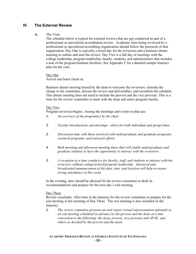#### **IV. The External Review**

#### **A.** The Visit:

The schedule below is typical for external reviews that are not conducted as part of a professional or specialized accreditation review. Academic units being reviewed by a professional or specialized accrediting organization should follow the protocols of that organization. Day One is typically a travel day for the reviewers and a business dinner meeting to outline and start the review. Day Two is a full day of meetings with the college leadership, program leadership, faculty, students, and administrators that includes a tour of the program/Institute facilities. See Appendix F for a detailed sample itinerary plan for the visit.

Day One

Arrival and hotel check-in.

Business dinner meeting hosted by the dean to welcome the reviewers, reiterate the charge to the committee, discuss the review and deliverables, and reconfirm the schedule. This dinner meeting does not need to include the provost and the vice provosts. This is a time for the review committee to meet with the dean and select program faculty.

#### Day Two

Program review(s) begins. Among the meetings and events to plan are:

- *1. An overview of the program(s) by the chair.*
- *2. Faculty introductions and meetings—allow for both individual and group times.*
- *3. Discussion time with those involved with undergraduate and graduate programs, research programs, and outreach efforts.*
- *4. Both morning and afternoon meeting times that will enable undergraduate and graduate students to have the opportunity to interact with the reviewers.*
- *5. A reception at a time conducive for faculty, staff, and students to interact with the reviewers without college/school/program leadership. Advanced and broadcasted announcement of the date, time, and location will help to ensure strong attendance at this event.*

In the evening, time should be allowed for the review committee to draft its recommendations and prepare for the next day's exit meeting.

#### Day Three

Review concludes. Allot time in the itinerary for the review committee to prepare for the exit meeting in the morning of Day Three. The exit meeting is also included on the itinerary.

*1. The review committee presents an oral report (visual representation optional) at an exit meeting scheduled in advance by the provost and the dean at a time convenient to the following: the dean, provost, vice provosts and APAE, and others as decided by the provost and the dean.*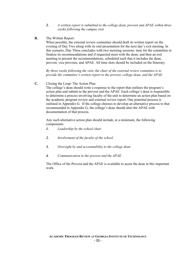- *2. A written report is submitted to the college dean, provost and APAE within three weeks following the campus visit.*
- **B.** The Written Report:

When possible, the external review committee should draft its written report on the evening of Day Two along with its oral presentation for the next day's exit meeting. In this scenario, Day Three concludes with two morning sessions: time for the committee to finalize its recommendations and if requested meet with the dean; and then an exit meeting to present the recommendations, scheduled such that it includes the dean, provost, vice provosts, and APAE. All time slots should be included on the Itinerary.

*By three weeks following the visit, the chair of the external review committee is to provide the committee's written report to the provost, college dean, and the APAE.*

**C.** Closing the Loop: The Action Plan

The college's dean should write a response to the report that outlines the program's action plan and submit to the provost and the APAE. Each college's dean is responsible to determine a process involving faculty of the unit to determine an action plan based on the academic program review and external review report. One potential process is outlined in Appendix G. If the college chooses to develop an alternative process to that recommended in Appendix G, the college's dean should alert the APAE with documentation of that process.

Any such alternative action plan should include, at a minimum, the following components:

- *1. Leadership by the school chair*
- *2. Involvement of the faculty of the school*
- *3. Oversight by and accountability to the college dean*
- *4. Communication to the provost and the APAE*

The Office of the Provost and the APAE is available to assist the dean in this important work.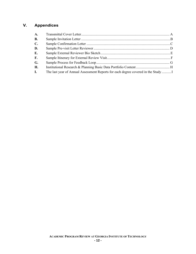#### **V. Appendices**

| A.             |                                                                                   |  |
|----------------|-----------------------------------------------------------------------------------|--|
| <b>B.</b>      |                                                                                   |  |
| $\mathbf{C}$ . |                                                                                   |  |
| D.             |                                                                                   |  |
| Е.             |                                                                                   |  |
| $\mathbf{F}$ . |                                                                                   |  |
| G.             |                                                                                   |  |
| Н.             |                                                                                   |  |
| I.             | The last year of Annual Assessment Reports for each degree covered in the Study I |  |
|                |                                                                                   |  |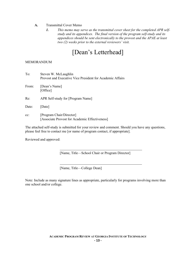#### **A.** Transmittal Cover Memo

*1. This memo may serve as the transmittal cover sheet for the completed APR selfstudy and its appendices. The final version of the program self-study and its appendices should be sent electronically to the provost and the APAE at least two (2) weeks prior to the external reviewers' visit.* 

## [Dean's Letterhead]

#### MEMORANDUM

| To:    | Steven W. McLaughlin<br>Provost and Executive Vice President for Academic Affairs |
|--------|-----------------------------------------------------------------------------------|
| From:  | [Dean's Name]<br>[Office]                                                         |
| Re:    | APR Self-study for [Program Name]                                                 |
| Date:  | Date                                                                              |
| $cc$ : | [Program Chair/Director]<br>[Associate Provost for Academic Effectiveness]        |

The attached self-study is submitted for your review and comment. Should you have any questions, please feel free to contact me [or name of program contact, if appropriate].

Reviewed and approved:

[Name, Title—School Chair or Program Director]

[Name, Title—College Dean]

Note: Include as many signature lines as appropriate, particularly for programs involving more than one school and/or college.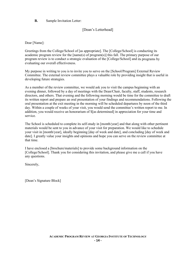#### **B.** Sample Invitation Letter:

#### [Dean's Letterhead]

Dear [Name]:

Greetings from the College/School of [as appropriate]. The [College/School] is conducting its academic program review for the [name(s) of program(s)] this fall. The primary purpose of our program review is to conduct a strategic evaluation of the [College/School] and its programs by evaluating our overall effectiveness.

My purpose in writing to you is to invite you to serve on the [School/Program] External Review Committee. The external review committee plays a valuable role by providing insight that is useful in developing future strategies.

As a member of the review committee, we would ask you to visit the campus beginning with an evening dinner, followed by a day of meetings with the Dean/Chair, faculty, staff, students, research directors, and others. That evening and the following morning would be time for the committee to draft its written report and prepare an oral presentation of your findings and recommendations. Following the oral presentation at the exit meeting in the morning will be scheduled departures by noon of the third day. Within a couple of weeks of your visit, you would send the committee's written report to me. In addition, you would receive an honorarium of \$[as determined] in appreciation for your time and service.

The School is scheduled to complete its self-study in [month/year] and that along with other pertinent materials would be sent to you in advance of your visit for preparation. We would like to schedule your visit in [month/year], ideally beginning [day of week and date], and concluding [day of week and date]. I greatly value your insights and opinions and hope you can serve on the review committee at that time.

I have enclosed a [brochure/materials] to provide some background information on the [College/School]. Thank you for considering this invitation, and please give me a call if you have any questions.

Sincerely,

[Dean's Signature Block]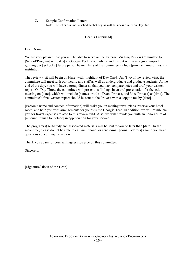**C.** Sample Confirmation Letter:

Note: The letter assumes a schedule that begins with business dinner on Day One.

[Dean's Letterhead]

Dear [Name]:

We are very pleased that you will be able to serve on the External Visiting Review Committee for [School/Program] on [dates] at Georgia Tech. Your advice and insight will have a great impact in guiding our [School's] future path. The members of the committee include [provide names, titles, and institution].

The review visit will begin on [date] with [highlight of Day One]. Day Two of the review visit, the committee will meet with our faculty and staff as well as undergraduate and graduate students. At the end of the day, you will have a group dinner so that you may compare notes and draft your written report. On Day Three, the committee will present its findings in an oral presentation for the exit meeting on [date], which will include [names or titles: Dean, Provost, and Vice Provost] at [time]. The committee's final written report should be sent to the Provost with a copy to me by [date].

[Person's name and contact information] will assist you in making travel plans, reserve your hotel room, and help you with arrangements for your visit to Georgia Tech. In addition, we will reimburse you for travel expenses related to this review visit. Also, we will provide you with an honorarium of [amount, if wish to include] in appreciation for your service.

The program(s) self-study and associated materials will be sent to you no later than [date]. In the meantime, please do not hesitate to call me [phone] or send e-mail [e-mail address] should you have questions concerning the review.

Thank you again for your willingness to serve on this committee.

Sincerely,

[Signature/Block of the Dean]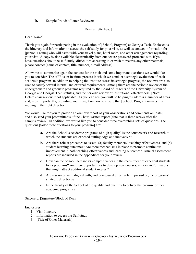#### **D.** Sample Pre-visit Letter Reviewer:

#### [Dean's Letterhead]

#### Dear [Name]:

Thank you again for participating in the evaluation of [School, Program] at Georgia Tech. Enclosed is the itinerary and information to access the self-study for your visit, as well as contact information for [person's name] who will assist with your travel plans, hotel room, and other arrangements regarding your visit. A copy is also available electronically from our secure password-protected site. If you have questions about the self-study, difficulties accessing it, or wish to receive any other materials, please contact [name of contact, title, number, e-mail address].

Allow me to summarize again the context for the visit and some important questions we would like you to consider. The APR is an Institute process in which we conduct a strategic evaluation of each academic program. In addition to helping the Institute assess its strategic progress, the reviews are also used to satisfy several internal and external requirements. Among them are the periodic review of the undergraduate and graduate programs required by the Board of Regents of the University System of Georgia and Georgia Tech statutes, and the periodic review of institutional effectiveness. [Note: Delete chair review if not applicable] As you can see, you will be helping us address a number of areas and, most importantly, providing your insight on how to ensure that [School, Program name(s)] is moving in the right direction.

We would like for you to provide an oral exit report of your observations and comments on [date], and also send your [committee's, if the Chair] written report [date that is three weeks after the campus review]. In addition, we would like you to consider three overarching sets of questions. The questions [tailor these questions to your program] are:

- **a.** Are the School's academic programs of high quality? Is the coursework and research to which the students are exposed cutting-edge and innovative?
- **b.** Are there robust processes to assess: (a) faculty members' teaching effectiveness, and (b) student learning outcomes? Are there mechanisms in place to promote continuous improvement in both teaching effectiveness and learning outcomes? Annual assessment reports are included in the appendices for your review.
- **c.** How can the School increase its competitiveness in the recruitment of excellent students to its programs? Are there opportunities to develop new courses, minors and/or majors that might attract additional student interest?
- **d.** Are resources well aligned with, and being used effectively in pursuit of, the programs' strategic directions?
- **e.** Is the faculty of the School of the quality and quantity to deliver the promise of their academic programs?

#### Sincerely, [Signature/Block of Dean]

#### Enclosures:

- 1. Visit Itinerary
- 2. Information to access the Self-study
- 3. [Title of Other Materials]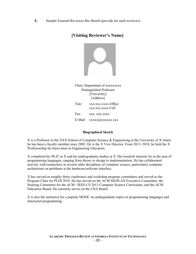**E.** Sample External Reviewer Bio Sketch (provide for each reviewer):

#### **[Visiting Reviewer's Name]**



Chair, Department of xxxxxxxxx Distinguished Professor [University] [Address] Tele: xxx.xxx.xxxx-Office xxx.xxx.xxxx-Cell Fax: xxx.xxx.xxxx E-Mail: xxxxx@xxxxxx.xxx

#### **Biographical Sketch**

X is a Professor in the XXX School of Computer Science & Engineering at the University of X where he has been a faculty member since 2003. He is the X Vice Director. From 2013–2018, he held the X Professorship for Innovation in Engineering Education.

X completed his Ph.D. at X and his undergraduate studies at X. His research interests lie in the area of programming languages, ranging from theory to design to implementation. He has collaborated actively with researchers in several other disciplines of computer science, particularly computer architecture on problems at the hardware/software interface.

X has served on roughly thirty conference and workshop program committees and served as the Program Chair for PLDI 2018. He has served on the ACM SIGPLAN Executive Committee, the Steering Committee for the ACM / IEEE-CS 2013 Computer Science Curriculum, and the ACM Education Board. He currently serves on the CRA Board.

X is also the instructor for a popular MOOC on undergraduate topics in programming languages and functional programming.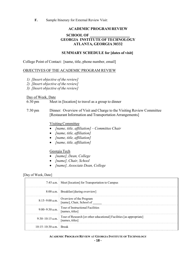**F.** Sample Itinerary for External Review Visit:

#### **ACADEMIC PROGRAM REVIEW SCHOOL OF \_\_\_\_\_\_\_\_\_\_\_\_\_\_\_ GEORGIA INSTITUTE OF TECHNOLOGY ATLANTA, GEORGIA 30332**

#### **SUMMARY SCHEDULE for [dates of visit]**

College Point of Contact: [name, title, phone number, email]

#### OBJECTIVES OF THE ACADEMIC PROGRAM REVIEW

- *1) [Insert objective of the review]*
- *2) [Insert objective of the review]*
- *3) [Insert objective of the review]*

#### Day of Week, Date

- 6:30 pm Meet in [location] to travel as a group to dinner
- 7:30 pm Dinner: Overview of Visit and Charge to the Visiting Review Committee [Restaurant Information and Transportation Arrangements]

#### VisitingCommittee

- *[name, title, affiliation] Committee Chair*
- *[name, title, affiliation]*
- *[name, title, affiliation]*
- *[name, title, affiliation]*

#### Georgia Tech

- *[name], Dean, College*
- *[name], Chair, School*
- *[name], Associate Dean, College*

#### [Day of Week, Date]

|                          | 7:45 a.m. Meet [location] for Transportation to Campus                                        |
|--------------------------|-----------------------------------------------------------------------------------------------|
|                          | 8:00 a.m. Breakfast [during overview]                                                         |
|                          | 8:15–9:00 a.m. Overview of the Program<br>[name], Chair, School of                            |
| $9:00-9:30$ a.m.         | Tour of Instructional Facilities<br>[names, titles]                                           |
| $9:30-10:15$ a.m.        | $\mid$ Tour of Research [or other educational] Facilities [as appropriate]<br>[names, titles] |
| $10:15-10:30$ a.m. Break |                                                                                               |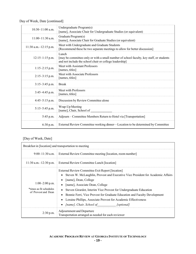Day of Week, Date [continued]

| $10:30-11:00$ a.m.         | Undergraduate Program(s)<br>[name], Associate Chair for Undergraduate Studies (or equivalent)                                                               |
|----------------------------|-------------------------------------------------------------------------------------------------------------------------------------------------------------|
| $11:00-11:30$ a.m.         | Graduate Program(s)<br>[name], Associate Chair for Graduate Studies (or equivalent)                                                                         |
| $11:30$ a.m. $-12:15$ p.m. | Meet with Undergraduate and Graduate Students<br>[Recommend these be two separate meetings to allow for better discussion]                                  |
| $12:15-1:15$ p.m.          | Lunch<br>[may be committee-only or with a small number of school faculty, key staff, or students<br>and not include the school chair or college leadership] |
| $1:15-2:15$ p.m.           | Meet with Assistant Professors<br>[names, titles]                                                                                                           |
| $2:15-3:15$ p.m.           | Meet with Associate Professors<br>[names, titles]                                                                                                           |
| $3:15-3:45$ p.m.           | <b>Break</b>                                                                                                                                                |
| $3:45-4:45$ p.m.           | Meet with Professors<br>[names, titles]                                                                                                                     |
| $4:45-5:15$ p.m.           | Discussion by Review Committee alone                                                                                                                        |
| 5:15-5:45 p.m.             | Wrap-Up Meeting<br>[name], Chair, School of                                                                                                                 |
| 5:45 p.m.                  | Adjourn – Committee Members Return to Hotel via [Transportation]                                                                                            |
| 6:30 p.m.                  | External Review Committee working dinner—Location to be determined by Committee                                                                             |

#### [Day of Week, Date]

| Breakfast in [location] and transportation to meeting              |                                                                                                                                                                                                                                                                                                                                                                                                                                                              |  |
|--------------------------------------------------------------------|--------------------------------------------------------------------------------------------------------------------------------------------------------------------------------------------------------------------------------------------------------------------------------------------------------------------------------------------------------------------------------------------------------------------------------------------------------------|--|
| $9:00-11:30$ a.m.                                                  | External Review Committee meeting [location, room number]                                                                                                                                                                                                                                                                                                                                                                                                    |  |
| $11:30$ a.m. $-12:30$ p.m.                                         | External Review Committee Lunch [location]                                                                                                                                                                                                                                                                                                                                                                                                                   |  |
| $1:00-2:00$ p.m.<br>*times as fit schedules<br>of Provost and Dean | External Review Committee Exit Report [location]<br>Steven W. McLaughlin, Provost and Executive Vice President for Academic Affairs<br>[name], Dean, College<br>[name], Associate Dean, College<br>Steven Girardot, Interim Vice Provost for Undergraduate Education<br>Bonnie Ferri, Vice Provost for Graduate Education and Faculty Development<br>Loraine Phillips, Associate Provost for Academic Effectiveness<br>• [name], Chair, School of [optional] |  |
| 2:30 p.m.                                                          | Adjournment and Departure<br>Transportation arranged as needed for each reviewer                                                                                                                                                                                                                                                                                                                                                                             |  |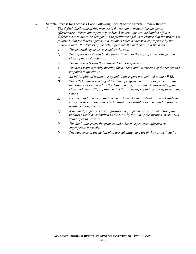- **G.** Sample Process for Feedback Loop Following Receipt of the External Review Report:
	- *1. The default facilitator of this process is the associate provost for academic effectiveness. Where appropriate (see Step 3 below), this can be handed off to a different vice provost (or delegate). The facilitator's job is to ensure that the process is followed, that feedback is given, and action is taken as deemed appropriate by the reviewed unit—the drivers of the action plan are the unit chair and the dean.*
		- *a) The external report is received by the unit.*
		- *b) The report is reviewed by the provost, dean of the appropriate college, and chair of the reviewed unit.*
		- *c) The dean meets with the chair to discuss responses.*
		- *d) The dean visits a faculty meeting for a "read out" discussion of the report and responds to questions.*
		- *e) An initial plan of action to respond to the report is submitted to the APAE.*
		- *f) The APAE calls a meeting of the dean, program chair, provost, vice provosts, and others as requested by the dean and program chair. At this meeting, the chair and dean will propose what actions they expect to take in response to the report.*
		- *g) It is then up to the dean and the chair to work out a calendar and schedule to carry out this action plan. The facilitator is available to assist and to provide feedback along the way.*
		- *h) A biennial progress report regarding the program's review and action plan updates should be submitted to the OAE by the end of the spring semester two years after the review.*
		- *i) The facilitator keeps the provost and other vice provosts informed at appropriate intervals.*
		- *j) The outcomes of the action plan are submitted as part of the next self-study.*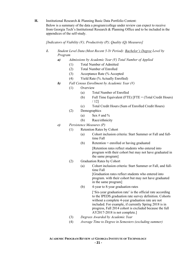**H.** Institutional Research & Planning Basic Data Portfolio Content:

Below is a summary of the data a program/college under review can expect to receive from Georgia Tech's Institutional Research & Planning Office and to be included in the appendices of the self-study.

#### *[Indicators of Viability (V); Productivity (P); Quality (Q) Measures]*

- *1. Student Level Data (Most Recent 5-Yr Period): Bachelor's Degree Level by Program* 
	- *a) Admissions by Academic Year (V) Total Number of Applied*
		- (1) Total Number of Admitted
		- (2) Total Number of Enrolled
		- (3) Acceptance Rate (% Accepted
		- (4) Yield Rate (% Actually Enrolled)
	- *b) Fall Census Enrollment by Academic Year (V)* 
		- (1) Overview
			- (a) Total Number of Enrolled
			- (b) Full Time Equivalent (FTE)  $[FTE = (Total Credit Hours)]$ / 12]
			- (c) Total Credit Hours (Sum of Enrolled Credit Hours)
		- (2) Demographics
			- (a) Sex # and %
			- (b) Race/ethnicity
	- *c) Persistence Measures (P)*
		- (1) Retention Rates by Cohort
			- (a) Cohort inclusion criteria: Start Summer or Fall and fulltime Fall
			- (b) Retention = enrolled or having graduated

[Retention rates reflect students who entered into program with their cohort but may not have graduated in the same program]

- (2) Graduation Rates by Cohort
	- (a) Cohort inclusion criteria: Start Summer or Fall, and fulltime Fall [Graduation rates reflect students who entered into program. with their cohort but may not have graduated in the same program]
	- (b) 4-year to 8-year graduation rates

['Six-year graduation rate' is the official rate according to the IPEDS graduation rate survey definition. Cohorts without a complete 4-year graduation rate are not included. For example, if currently Spring 2018 is in progress, Fall 2014 cohort is excluded because the full AY2017-2018 is not complete.]

- (3) *Degrees Awarded by Academic Year*
- (4) *Average Time to Degree in Semesters (excluding summer)*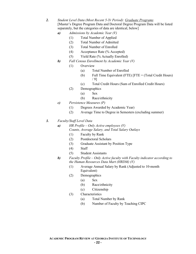- *2. Student Level Data (Most Recent 5-Yr Period): Graduate Programs*  [Master's Degree Program Data and Doctoral Degree Program Data will be listed separately, but the categories of data are identical, below]
	- *a) Admissions by Academic Year (V)*
		- (1) Total Number of Applied
		- (2) Total Number of Admitted
		- (3) Total Number of Enrolled
		- (4) Acceptance Rate (% Accepted)
		- (5) Yield Rate (% Actually Enrolled)
	- *b) Fall Census Enrollment by Academic Year (V)* 
		- (1) Overview
			- (a) Total Number of Enrolled
			- (b) Full Time Equivalent (FTE) [FTE = (Total Credit Hours) / 9]
			- (c) Total Credit Hours (Sum of Enrolled Credit Hours)
		- (2) Demographics
			- (a) Sex
				- (b) Race/ethnicity
	- *c) Persistence Measures (P)*
		- (1) Degrees Awarded by Academic Year)
		- (2) Average Time to Degree in Semesters (excluding summer)
- *3. Faculty/Staff Level Data*
	- *a) HR Profile Only Active employees (V)*
		- *Counts, Average Salary, and Total Salary Outlays* 
			- (1) Faculty by Rank
			- (2) Postdoctoral Scholars
			- (3) Graduate Assistant by Position Type
			- (4) Staff
			- (5) Student Assistants
	- *b) Faculty Profile Only Active faculty with Faculty indicator according to the Human Resources Data Mart (HRDM) (V)* 
		- (1) Average Annual Salary by Rank (Adjusted to 10-month Equivalent)
		- (2) Demographics
			- (a) Sex
			- (b) Race/ethnicity
			- (c) Citizenship
		- (3) Characteristics
			- (a) Total Number by Rank
			- (b) Number of Faculty by Teaching CIPC